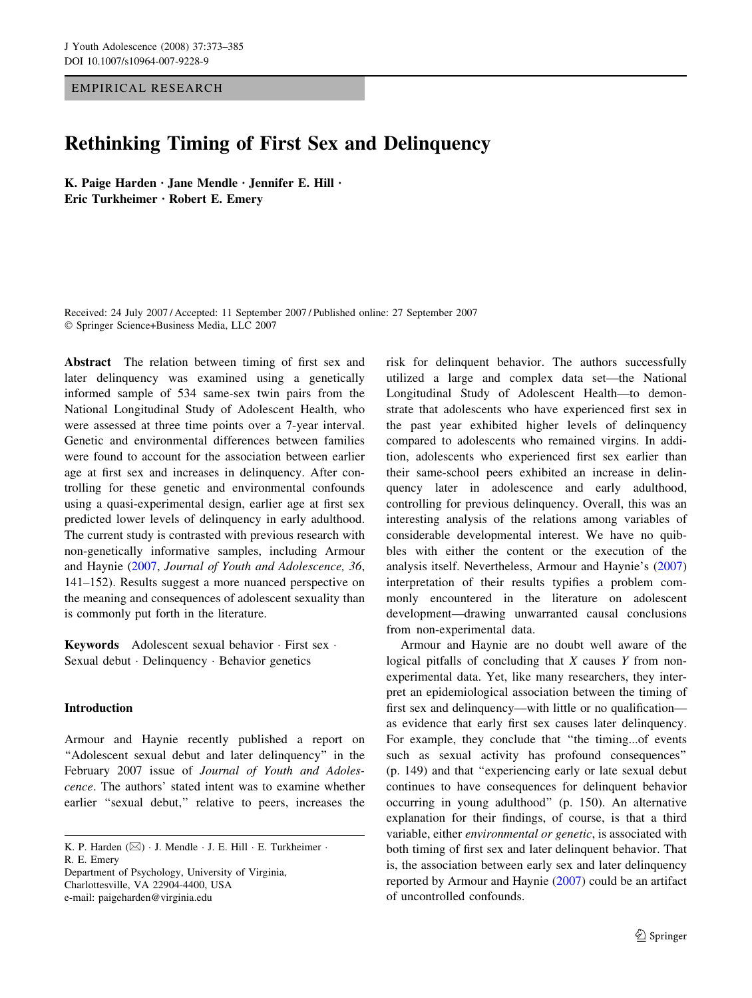EMPIRICAL RESEARCH

# Rethinking Timing of First Sex and Delinquency

K. Paige Harden  $\cdot$  Jane Mendle  $\cdot$  Jennifer E. Hill  $\cdot$ Eric Turkheimer · Robert E. Emery

Received: 24 July 2007 / Accepted: 11 September 2007 / Published online: 27 September 2007 ! Springer Science+Business Media, LLC 2007

Abstract The relation between timing of first sex and later delinquency was examined using a genetically informed sample of 534 same-sex twin pairs from the National Longitudinal Study of Adolescent Health, who were assessed at three time points over a 7-year interval. Genetic and environmental differences between families were found to account for the association between earlier age at first sex and increases in delinquency. After controlling for these genetic and environmental confounds using a quasi-experimental design, earlier age at first sex predicted lower levels of delinquency in early adulthood. The current study is contrasted with previous research with non-genetically informative samples, including Armour and Haynie [\(2007](#page-10-0), Journal of Youth and Adolescence, 36, 141–152). Results suggest a more nuanced perspective on the meaning and consequences of adolescent sexuality than is commonly put forth in the literature.

Keywords Adolescent sexual behavior  $\cdot$  First sex  $\cdot$ Sexual debut · Delinquency · Behavior genetics

## Introduction

Armour and Haynie recently published a report on "Adolescent sexual debut and later delinquency" in the February 2007 issue of Journal of Youth and Adolescence. The authors' stated intent was to examine whether earlier "sexual debut," relative to peers, increases the

Department of Psychology, University of Virginia, Charlottesville, VA 22904-4400, USA e-mail: paigeharden@virginia.edu

risk for delinquent behavior. The authors successfully utilized a large and complex data set—the National Longitudinal Study of Adolescent Health—to demonstrate that adolescents who have experienced first sex in the past year exhibited higher levels of delinquency compared to adolescents who remained virgins. In addition, adolescents who experienced first sex earlier than their same-school peers exhibited an increase in delinquency later in adolescence and early adulthood, controlling for previous delinquency. Overall, this was an interesting analysis of the relations among variables of considerable developmental interest. We have no quibbles with either the content or the execution of the analysis itself. Nevertheless, Armour and Haynie's ([2007\)](#page-10-0) interpretation of their results typifies a problem commonly encountered in the literature on adolescent development—drawing unwarranted causal conclusions from non-experimental data.

Armour and Haynie are no doubt well aware of the logical pitfalls of concluding that  $X$  causes  $Y$  from nonexperimental data. Yet, like many researchers, they interpret an epidemiological association between the timing of first sex and delinquency—with little or no qualification as evidence that early first sex causes later delinquency. For example, they conclude that ''the timing...of events such as sexual activity has profound consequences'' (p. 149) and that ''experiencing early or late sexual debut continues to have consequences for delinquent behavior occurring in young adulthood'' (p. 150). An alternative explanation for their findings, of course, is that a third variable, either environmental or genetic, is associated with both timing of first sex and later delinquent behavior. That is, the association between early sex and later delinquency reported by Armour and Haynie ([2007\)](#page-10-0) could be an artifact of uncontrolled confounds.

K. P. Harden  $(\boxtimes)$   $\cdot$  J. Mendle  $\cdot$  J. E. Hill  $\cdot$  E. Turkheimer  $\cdot$ R. E. Emery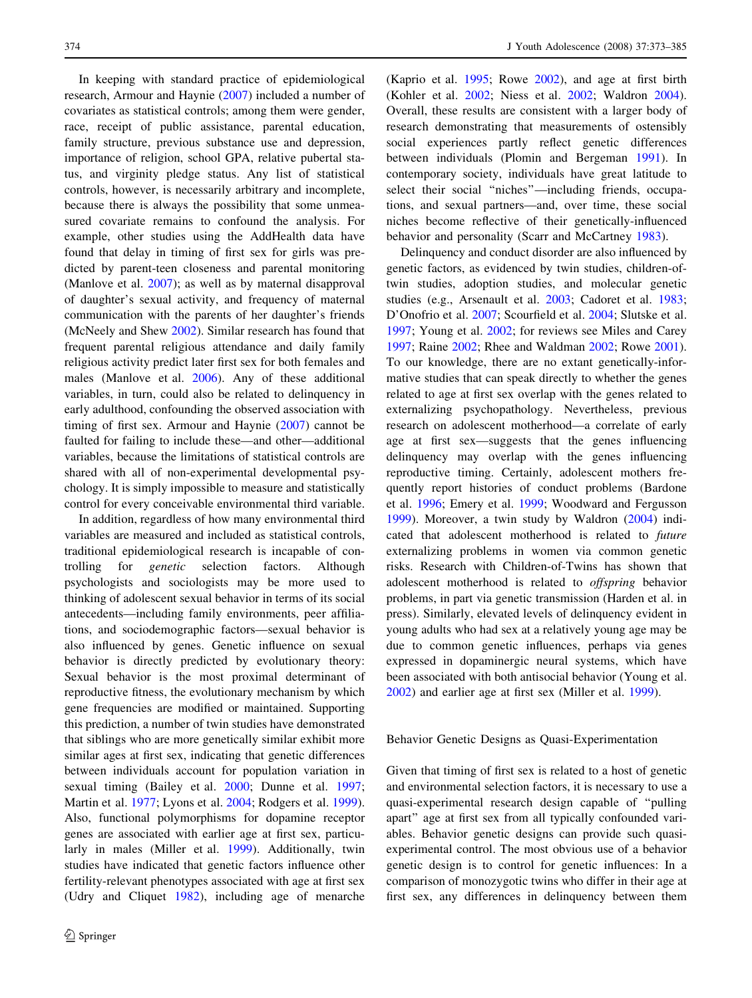In keeping with standard practice of epidemiological research, Armour and Haynie ([2007\)](#page-10-0) included a number of covariates as statistical controls; among them were gender, race, receipt of public assistance, parental education, family structure, previous substance use and depression, importance of religion, school GPA, relative pubertal status, and virginity pledge status. Any list of statistical controls, however, is necessarily arbitrary and incomplete, because there is always the possibility that some unmeasured covariate remains to confound the analysis. For example, other studies using the AddHealth data have found that delay in timing of first sex for girls was predicted by parent-teen closeness and parental monitoring (Manlove et al. [2007](#page-10-0)); as well as by maternal disapproval of daughter's sexual activity, and frequency of maternal communication with the parents of her daughter's friends (McNeely and Shew [2002\)](#page-11-0). Similar research has found that frequent parental religious attendance and daily family religious activity predict later first sex for both females and males (Manlove et al. [2006](#page-10-0)). Any of these additional variables, in turn, could also be related to delinquency in early adulthood, confounding the observed association with timing of first sex. Armour and Haynie ([2007\)](#page-10-0) cannot be faulted for failing to include these—and other—additional variables, because the limitations of statistical controls are shared with all of non-experimental developmental psychology. It is simply impossible to measure and statistically control for every conceivable environmental third variable.

In addition, regardless of how many environmental third variables are measured and included as statistical controls, traditional epidemiological research is incapable of controlling for genetic selection factors. Although psychologists and sociologists may be more used to thinking of adolescent sexual behavior in terms of its social antecedents—including family environments, peer affiliations, and sociodemographic factors—sexual behavior is also influenced by genes. Genetic influence on sexual behavior is directly predicted by evolutionary theory: Sexual behavior is the most proximal determinant of reproductive fitness, the evolutionary mechanism by which gene frequencies are modified or maintained. Supporting this prediction, a number of twin studies have demonstrated that siblings who are more genetically similar exhibit more similar ages at first sex, indicating that genetic differences between individuals account for population variation in sexual timing (Bailey et al. [2000;](#page-10-0) Dunne et al. [1997](#page-10-0); Martin et al. [1977;](#page-11-0) Lyons et al. [2004](#page-10-0); Rodgers et al. [1999](#page-11-0)). Also, functional polymorphisms for dopamine receptor genes are associated with earlier age at first sex, particularly in males (Miller et al. [1999](#page-11-0)). Additionally, twin studies have indicated that genetic factors influence other fertility-relevant phenotypes associated with age at first sex (Udry and Cliquet [1982](#page-11-0)), including age of menarche

(Kaprio et al. [1995](#page-10-0); Rowe [2002\)](#page-11-0), and age at first birth (Kohler et al. [2002](#page-10-0); Niess et al. [2002;](#page-11-0) Waldron [2004](#page-11-0)). Overall, these results are consistent with a larger body of research demonstrating that measurements of ostensibly social experiences partly reflect genetic differences between individuals (Plomin and Bergeman [1991\)](#page-11-0). In contemporary society, individuals have great latitude to select their social "niches"—including friends, occupations, and sexual partners—and, over time, these social niches become reflective of their genetically-influenced behavior and personality (Scarr and McCartney [1983\)](#page-11-0).

Delinquency and conduct disorder are also influenced by genetic factors, as evidenced by twin studies, children-oftwin studies, adoption studies, and molecular genetic studies (e.g., Arsenault et al. [2003](#page-10-0); Cadoret et al. [1983](#page-10-0); D'Onofrio et al. [2007;](#page-10-0) Scourfield et al. [2004](#page-11-0); Slutske et al. [1997](#page-11-0); Young et al. [2002;](#page-11-0) for reviews see Miles and Carey [1997](#page-11-0); Raine [2002](#page-11-0); Rhee and Waldman [2002;](#page-11-0) Rowe [2001](#page-11-0)). To our knowledge, there are no extant genetically-informative studies that can speak directly to whether the genes related to age at first sex overlap with the genes related to externalizing psychopathology. Nevertheless, previous research on adolescent motherhood—a correlate of early age at first sex—suggests that the genes influencing delinquency may overlap with the genes influencing reproductive timing. Certainly, adolescent mothers frequently report histories of conduct problems (Bardone et al. [1996](#page-10-0); Emery et al. [1999;](#page-10-0) Woodward and Fergusson [1999](#page-11-0)). Moreover, a twin study by Waldron ([2004](#page-11-0)) indicated that adolescent motherhood is related to future externalizing problems in women via common genetic risks. Research with Children-of-Twins has shown that adolescent motherhood is related to offspring behavior problems, in part via genetic transmission (Harden et al. in press). Similarly, elevated levels of delinquency evident in young adults who had sex at a relatively young age may be due to common genetic influences, perhaps via genes expressed in dopaminergic neural systems, which have been associated with both antisocial behavior (Young et al. [2002](#page-11-0)) and earlier age at first sex (Miller et al. [1999](#page-11-0)).

#### Behavior Genetic Designs as Quasi-Experimentation

Given that timing of first sex is related to a host of genetic and environmental selection factors, it is necessary to use a quasi-experimental research design capable of ''pulling apart'' age at first sex from all typically confounded variables. Behavior genetic designs can provide such quasiexperimental control. The most obvious use of a behavior genetic design is to control for genetic influences: In a comparison of monozygotic twins who differ in their age at first sex, any differences in delinquency between them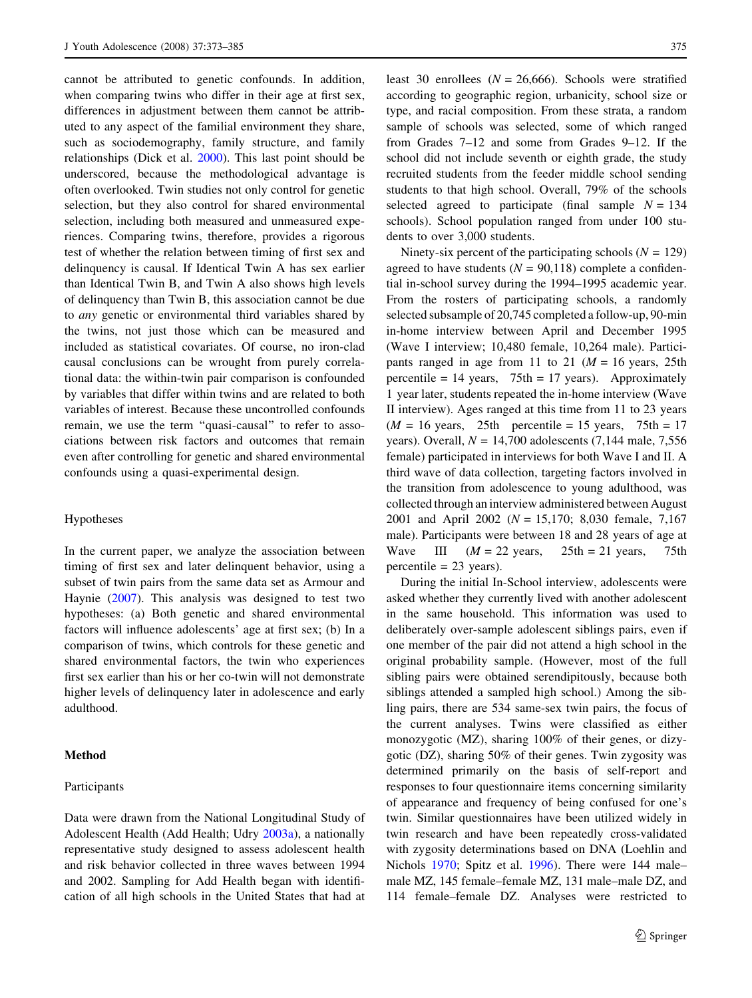cannot be attributed to genetic confounds. In addition, when comparing twins who differ in their age at first sex, differences in adjustment between them cannot be attributed to any aspect of the familial environment they share, such as sociodemography, family structure, and family relationships (Dick et al. [2000](#page-10-0)). This last point should be underscored, because the methodological advantage is often overlooked. Twin studies not only control for genetic selection, but they also control for shared environmental selection, including both measured and unmeasured experiences. Comparing twins, therefore, provides a rigorous test of whether the relation between timing of first sex and delinquency is causal. If Identical Twin A has sex earlier than Identical Twin B, and Twin A also shows high levels of delinquency than Twin B, this association cannot be due to any genetic or environmental third variables shared by the twins, not just those which can be measured and included as statistical covariates. Of course, no iron-clad causal conclusions can be wrought from purely correlational data: the within-twin pair comparison is confounded by variables that differ within twins and are related to both variables of interest. Because these uncontrolled confounds remain, we use the term ''quasi-causal'' to refer to associations between risk factors and outcomes that remain even after controlling for genetic and shared environmental confounds using a quasi-experimental design.

## Hypotheses

In the current paper, we analyze the association between timing of first sex and later delinquent behavior, using a subset of twin pairs from the same data set as Armour and Haynie ([2007\)](#page-10-0). This analysis was designed to test two hypotheses: (a) Both genetic and shared environmental factors will influence adolescents' age at first sex; (b) In a comparison of twins, which controls for these genetic and shared environmental factors, the twin who experiences first sex earlier than his or her co-twin will not demonstrate higher levels of delinquency later in adolescence and early adulthood.

## Method

#### Participants

Data were drawn from the National Longitudinal Study of Adolescent Health (Add Health; Udry [2003a\)](#page-11-0), a nationally representative study designed to assess adolescent health and risk behavior collected in three waves between 1994 and 2002. Sampling for Add Health began with identification of all high schools in the United States that had at least 30 enrollees ( $N = 26,666$ ). Schools were stratified according to geographic region, urbanicity, school size or type, and racial composition. From these strata, a random sample of schools was selected, some of which ranged from Grades 7–12 and some from Grades 9–12. If the school did not include seventh or eighth grade, the study recruited students from the feeder middle school sending students to that high school. Overall, 79% of the schools selected agreed to participate (final sample  $N = 134$ ) schools). School population ranged from under 100 students to over 3,000 students.

Ninety-six percent of the participating schools ( $N = 129$ ) agreed to have students ( $N = 90,118$ ) complete a confidential in-school survey during the 1994–1995 academic year. From the rosters of participating schools, a randomly selected subsample of 20,745 completed a follow-up, 90-min in-home interview between April and December 1995 (Wave I interview; 10,480 female, 10,264 male). Participants ranged in age from 11 to 21 ( $M = 16$  years, 25th percentile =  $14$  years,  $75$ th =  $17$  years). Approximately 1 year later, students repeated the in-home interview (Wave II interview). Ages ranged at this time from 11 to 23 years  $(M = 16 \text{ years}, 25 \text{th} \text{ percentile} = 15 \text{ years}, 75 \text{th} = 17$ years). Overall,  $N = 14,700$  adolescents (7,144 male, 7,556) female) participated in interviews for both Wave I and II. A third wave of data collection, targeting factors involved in the transition from adolescence to young adulthood, was collected through an interview administered between August 2001 and April 2002 (N = 15,170; 8,030 female, 7,167 male). Participants were between 18 and 28 years of age at Wave III  $(M = 22 \text{ years}, 25 \text{th} = 21 \text{ years}, 75 \text{th}$  $percentile = 23 \text{ years}.$ 

During the initial In-School interview, adolescents were asked whether they currently lived with another adolescent in the same household. This information was used to deliberately over-sample adolescent siblings pairs, even if one member of the pair did not attend a high school in the original probability sample. (However, most of the full sibling pairs were obtained serendipitously, because both siblings attended a sampled high school.) Among the sibling pairs, there are 534 same-sex twin pairs, the focus of the current analyses. Twins were classified as either monozygotic (MZ), sharing 100% of their genes, or dizygotic (DZ), sharing 50% of their genes. Twin zygosity was determined primarily on the basis of self-report and responses to four questionnaire items concerning similarity of appearance and frequency of being confused for one's twin. Similar questionnaires have been utilized widely in twin research and have been repeatedly cross-validated with zygosity determinations based on DNA (Loehlin and Nichols [1970;](#page-10-0) Spitz et al. [1996\)](#page-11-0). There were 144 male– male MZ, 145 female–female MZ, 131 male–male DZ, and 114 female–female DZ. Analyses were restricted to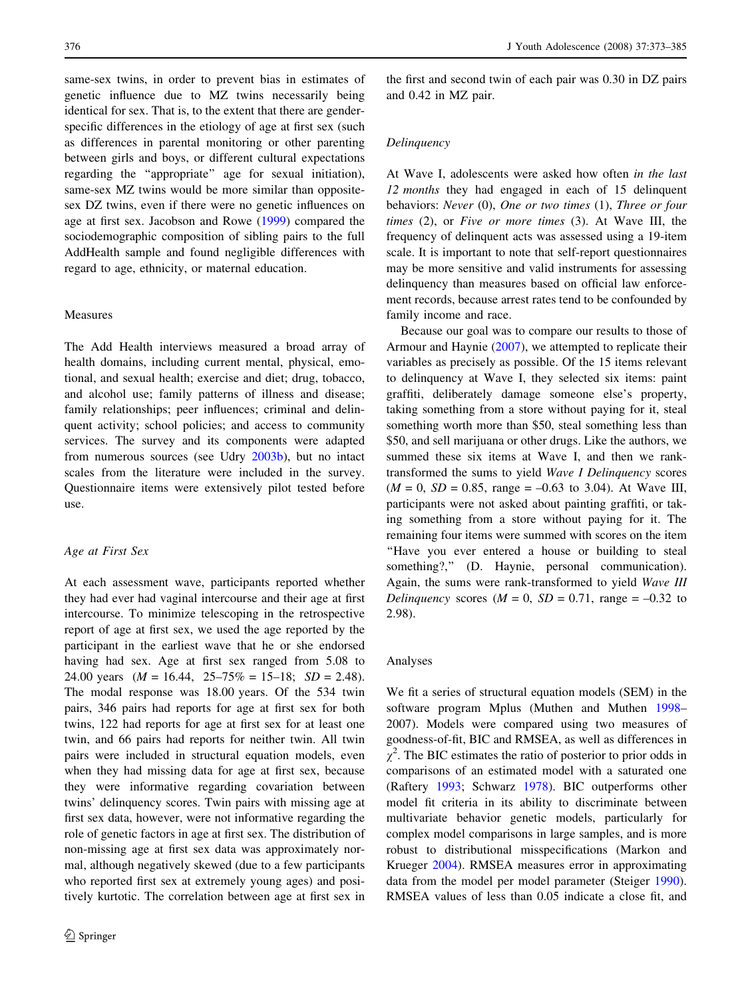same-sex twins, in order to prevent bias in estimates of genetic influence due to MZ twins necessarily being identical for sex. That is, to the extent that there are genderspecific differences in the etiology of age at first sex (such as differences in parental monitoring or other parenting between girls and boys, or different cultural expectations regarding the ''appropriate'' age for sexual initiation), same-sex MZ twins would be more similar than oppositesex DZ twins, even if there were no genetic influences on age at first sex. Jacobson and Rowe ([1999\)](#page-10-0) compared the sociodemographic composition of sibling pairs to the full AddHealth sample and found negligible differences with regard to age, ethnicity, or maternal education.

## Measures

The Add Health interviews measured a broad array of health domains, including current mental, physical, emotional, and sexual health; exercise and diet; drug, tobacco, and alcohol use; family patterns of illness and disease; family relationships; peer influences; criminal and delinquent activity; school policies; and access to community services. The survey and its components were adapted from numerous sources (see Udry [2003b](#page-11-0)), but no intact scales from the literature were included in the survey. Questionnaire items were extensively pilot tested before use.

#### Age at First Sex

At each assessment wave, participants reported whether they had ever had vaginal intercourse and their age at first intercourse. To minimize telescoping in the retrospective report of age at first sex, we used the age reported by the participant in the earliest wave that he or she endorsed having had sex. Age at first sex ranged from 5.08 to 24.00 years  $(M = 16.44, 25-75\% = 15-18; SD = 2.48)$ . The modal response was 18.00 years. Of the 534 twin pairs, 346 pairs had reports for age at first sex for both twins, 122 had reports for age at first sex for at least one twin, and 66 pairs had reports for neither twin. All twin pairs were included in structural equation models, even when they had missing data for age at first sex, because they were informative regarding covariation between twins' delinquency scores. Twin pairs with missing age at first sex data, however, were not informative regarding the role of genetic factors in age at first sex. The distribution of non-missing age at first sex data was approximately normal, although negatively skewed (due to a few participants who reported first sex at extremely young ages) and positively kurtotic. The correlation between age at first sex in

the first and second twin of each pair was 0.30 in DZ pairs and 0.42 in MZ pair.

## Delinquency

At Wave I, adolescents were asked how often in the last 12 *months* they had engaged in each of 15 delinquent behaviors: Never (0), One or two times (1), Three or four times  $(2)$ , or Five or more times  $(3)$ . At Wave III, the frequency of delinquent acts was assessed using a 19-item scale. It is important to note that self-report questionnaires may be more sensitive and valid instruments for assessing delinquency than measures based on official law enforcement records, because arrest rates tend to be confounded by family income and race.

Because our goal was to compare our results to those of Armour and Haynie ([2007\)](#page-10-0), we attempted to replicate their variables as precisely as possible. Of the 15 items relevant to delinquency at Wave I, they selected six items: paint graffiti, deliberately damage someone else's property, taking something from a store without paying for it, steal something worth more than \$50, steal something less than \$50, and sell marijuana or other drugs. Like the authors, we summed these six items at Wave I, and then we ranktransformed the sums to yield Wave I Delinquency scores  $(M = 0, SD = 0.85, range = -0.63$  to 3.04). At Wave III, participants were not asked about painting graffiti, or taking something from a store without paying for it. The remaining four items were summed with scores on the item ''Have you ever entered a house or building to steal something?," (D. Haynie, personal communication). Again, the sums were rank-transformed to yield Wave III Delinquency scores ( $M = 0$ ,  $SD = 0.71$ , range = -0.32 to 2.98).

#### Analyses

We fit a series of structural equation models (SEM) in the software program Mplus (Muthen and Muthen [1998](#page-11-0)– 2007). Models were compared using two measures of goodness-of-fit, BIC and RMSEA, as well as differences in  $\chi^2$ . The BIC estimates the ratio of posterior to prior odds in comparisons of an estimated model with a saturated one (Raftery [1993](#page-11-0); Schwarz [1978](#page-11-0)). BIC outperforms other model fit criteria in its ability to discriminate between multivariate behavior genetic models, particularly for complex model comparisons in large samples, and is more robust to distributional misspecifications (Markon and Krueger [2004\)](#page-10-0). RMSEA measures error in approximating data from the model per model parameter (Steiger [1990](#page-11-0)). RMSEA values of less than 0.05 indicate a close fit, and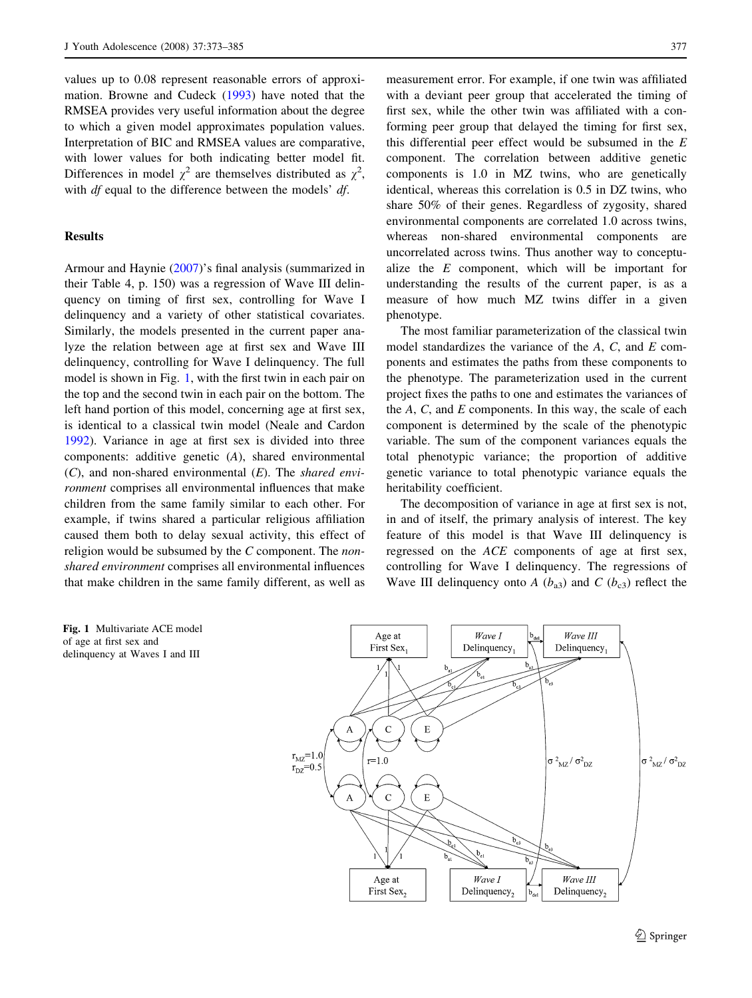values up to 0.08 represent reasonable errors of approximation. Browne and Cudeck [\(1993](#page-10-0)) have noted that the RMSEA provides very useful information about the degree to which a given model approximates population values. Interpretation of BIC and RMSEA values are comparative, with lower values for both indicating better model fit. Differences in model  $\chi^2$  are themselves distributed as  $\chi^2$ , with *df* equal to the difference between the models' *df*.

## Results

Armour and Haynie ([2007\)](#page-10-0)'s final analysis (summarized in their Table 4, p. 150) was a regression of Wave III delinquency on timing of first sex, controlling for Wave I delinquency and a variety of other statistical covariates. Similarly, the models presented in the current paper analyze the relation between age at first sex and Wave III delinquency, controlling for Wave I delinquency. The full model is shown in Fig. [1,](#page-4-0) with the first twin in each pair on the top and the second twin in each pair on the bottom. The left hand portion of this model, concerning age at first sex, is identical to a classical twin model (Neale and Cardon [1992\)](#page-11-0). Variance in age at first sex is divided into three components: additive genetic (A), shared environmental  $(C)$ , and non-shared environmental  $(E)$ . The shared environment comprises all environmental influences that make children from the same family similar to each other. For example, if twins shared a particular religious affiliation caused them both to delay sexual activity, this effect of religion would be subsumed by the  $C$  component. The nonshared environment comprises all environmental influences that make children in the same family different, as well as

measurement error. For example, if one twin was affiliated with a deviant peer group that accelerated the timing of first sex, while the other twin was affiliated with a conforming peer group that delayed the timing for first sex, this differential peer effect would be subsumed in the  $E$ component. The correlation between additive genetic components is 1.0 in MZ twins, who are genetically identical, whereas this correlation is 0.5 in DZ twins, who share 50% of their genes. Regardless of zygosity, shared environmental components are correlated 1.0 across twins, whereas non-shared environmental components are uncorrelated across twins. Thus another way to conceptualize the  $E$  component, which will be important for understanding the results of the current paper, is as a measure of how much MZ twins differ in a given phenotype.

The most familiar parameterization of the classical twin model standardizes the variance of the  $A$ ,  $C$ , and  $E$  components and estimates the paths from these components to the phenotype. The parameterization used in the current project fixes the paths to one and estimates the variances of the  $A$ ,  $C$ , and  $E$  components. In this way, the scale of each component is determined by the scale of the phenotypic variable. The sum of the component variances equals the total phenotypic variance; the proportion of additive genetic variance to total phenotypic variance equals the heritability coefficient.

The decomposition of variance in age at first sex is not, in and of itself, the primary analysis of interest. The key feature of this model is that Wave III delinquency is regressed on the ACE components of age at first sex, controlling for Wave I delinquency. The regressions of Wave III delinquency onto A  $(b_{a3})$  and C  $(b_{c3})$  reflect the

<span id="page-4-0"></span>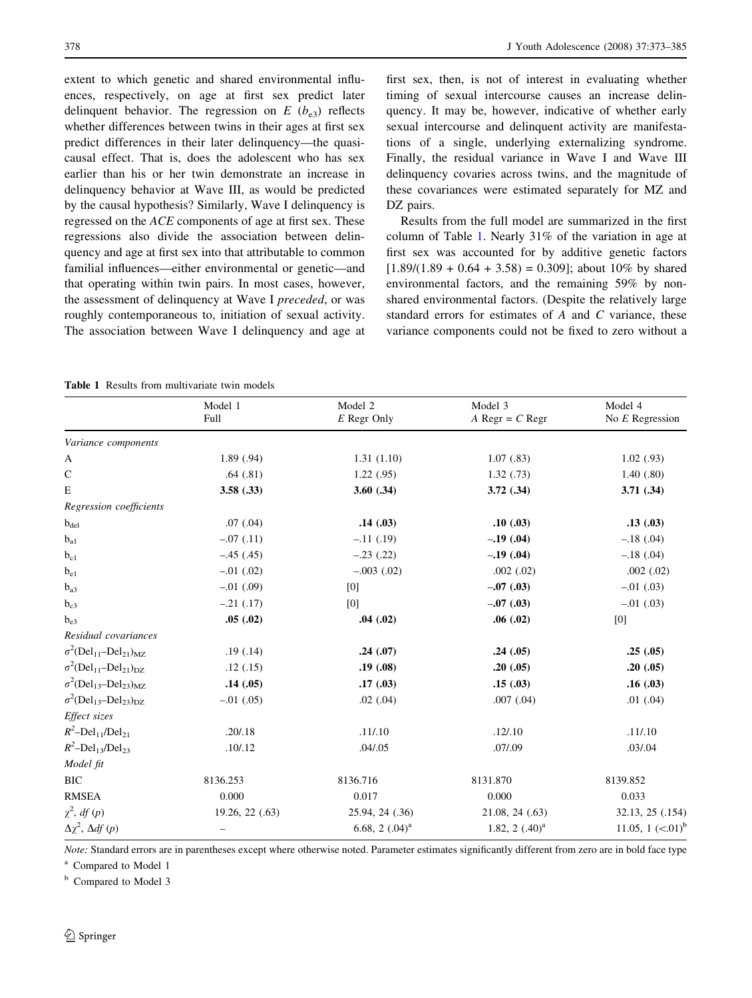extent to which genetic and shared environmental influences, respectively, on age at first sex predict later delinquent behavior. The regression on  $E(b_{e3})$  reflects whether differences between twins in their ages at first sex predict differences in their later delinquency—the quasicausal effect. That is, does the adolescent who has sex earlier than his or her twin demonstrate an increase in delinquency behavior at Wave III, as would be predicted by the causal hypothesis? Similarly, Wave I delinquency is regressed on the ACE components of age at first sex. These regressions also divide the association between delinquency and age at first sex into that attributable to common familial influences—either environmental or genetic—and that operating within twin pairs. In most cases, however, the assessment of delinquency at Wave I preceded, or was roughly contemporaneous to, initiation of sexual activity. The association between Wave I delinquency and age at first sex, then, is not of interest in evaluating whether timing of sexual intercourse causes an increase delinquency. It may be, however, indicative of whether early sexual intercourse and delinquent activity are manifestations of a single, underlying externalizing syndrome. Finally, the residual variance in Wave I and Wave III delinquency covaries across twins, and the magnitude of these covariances were estimated separately for MZ and DZ pairs.

Results from the full model are summarized in the first column of Table [1.](#page-5-0) Nearly 31% of the variation in age at first sex was accounted for by additive genetic factors  $[1.89/(1.89 + 0.64 + 3.58) = 0.309]$ ; about 10% by shared environmental factors, and the remaining 59% by nonshared environmental factors. (Despite the relatively large standard errors for estimates of A and C variance, these variance components could not be fixed to zero without a

Table 1 Results from multivariate twin models

|                                                                 | Model 1<br>Full | Model 2<br>E Regr Only | Model 3<br>A Regr = $C$ Regr | Model 4<br>No $E$ Regression |
|-----------------------------------------------------------------|-----------------|------------------------|------------------------------|------------------------------|
| Variance components                                             |                 |                        |                              |                              |
| A                                                               | 1.89(.94)       | 1.31(1.10)             | 1.07(0.83)                   | 1.02(0.93)                   |
| C                                                               | .64(.81)        | 1.22(.95)              | 1.32(0.73)                   | 1.40(0.80)                   |
| E                                                               | 3.58(.33)       | $3.60$ $(.34)$         | 3.72(.34)                    | 3.71(.34)                    |
| Regression coefficients                                         |                 |                        |                              |                              |
| $b_{\text{del}}$                                                | .07(0.04)       | .14(.03)               | .10(0.03)                    | .13(.03)                     |
| $b_{a1}$                                                        | $-.07(.11)$     | $-.11(.19)$            | $-.19(.04)$                  | $-.18(.04)$                  |
| $b_{c1}$                                                        | $-.45(.45)$     | $-.23$ $(.22)$         | $-.19(.04)$                  | $-.18(.04)$                  |
| $b_{e1}$                                                        | $-.01$ $(.02)$  | $-.003$ $(.02)$        | $.002$ $(.02)$               | .002(.02)                    |
| $b_{a3}$                                                        | $-.01$ (.09)    | [0]                    | $-.07(.03)$                  | $-.01(.03)$                  |
| $b_{c3}$                                                        | $-.21$ $(.17)$  | [0]                    | $-.07(.03)$                  | $-.01$ (.03)                 |
| $b_{e3}$                                                        | .05(.02)        | .04(.02)               | .06(.02)                     | [0]                          |
| Residual covariances                                            |                 |                        |                              |                              |
| $\sigma^2(\text{Del}_{11}\text{--}\text{Del}_{21})_{\text{MZ}}$ | .19(0.14)       | .24(.07)               | .24(.05)                     | .25(.05)                     |
| $\sigma^2(\text{Del}_{11}-\text{Del}_{21})_{\text{DZ}}$         | .12(.15)        | .19(.08)               | .20(.05)                     | .20(.05)                     |
| $\sigma^2(\text{Del}_{13}-\text{Del}_{23})_{\text{MZ}}$         | .14(.05)        | .17(.03)               | .15(.03)                     | .16(.03)                     |
| $\sigma^2(\text{Del}_{13}-\text{Del}_{23})_{\text{DZ}}$         | $-.01$ (.05)    | $.02$ $(.04)$          | $.007$ $(.04)$               | $.01$ $(.04)$                |
| Effect sizes                                                    |                 |                        |                              |                              |
| $R^2$ -Del <sub>11</sub> /Del <sub>21</sub>                     | .20/0.18        | .11/.10                | .12/.10                      | .11/.10                      |
| $R^2$ -Del <sub>13</sub> /Del <sub>23</sub>                     | .10/.12         | .04 / .05              | .07/.09                      | .03/.04                      |
| Model fit                                                       |                 |                        |                              |                              |
| ВIС                                                             | 8136.253        | 8136.716               | 8131.870                     | 8139.852                     |
| RMSEA                                                           | 0.000           | 0.017                  | 0.000                        | 0.033                        |
| $\chi^2$ , df (p)                                               | 19.26, 22(.63)  | 25.94, 24 (.36)        | 21.08, 24 (.63)              | 32.13, 25 (.154)             |
| $\Delta \chi^2$ , $\Delta df(p)$                                |                 | 6.68, 2 $(.04)^a$      | 1.82, 2 $(.40)^a$            | 11.05, 1 $(<.01)^b$          |
|                                                                 |                 |                        |                              |                              |

Note: Standard errors are in parentheses except where otherwise noted. Parameter estimates significantly different from zero are in bold face type

Compared to Model 1

<span id="page-5-0"></span><sup>b</sup> Compared to Model 3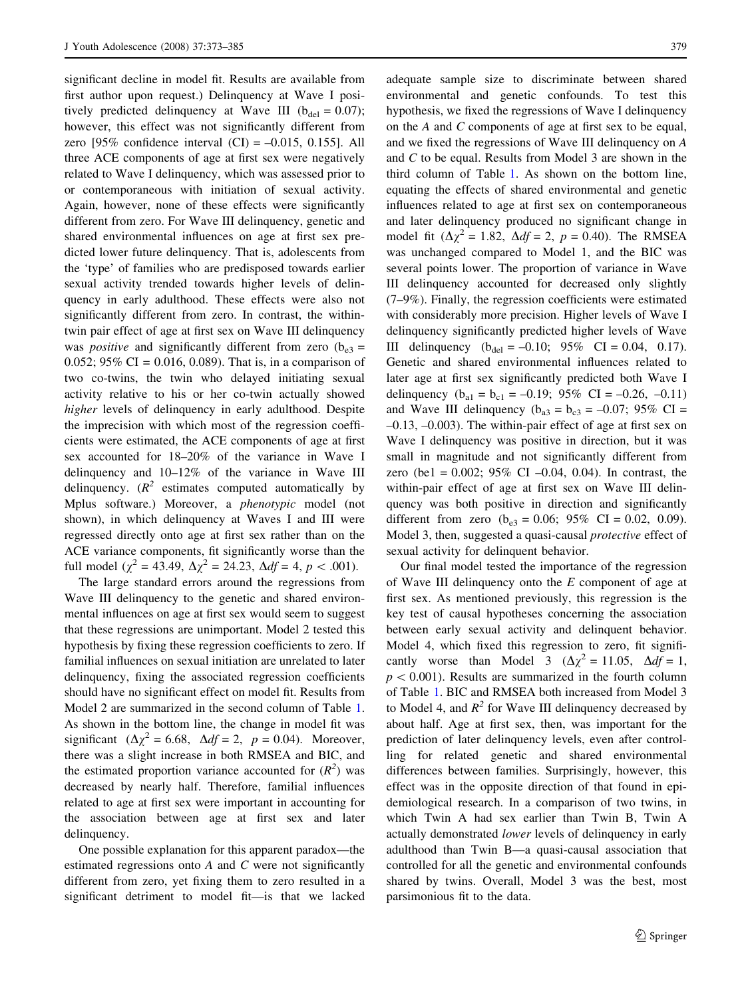significant decline in model fit. Results are available from first author upon request.) Delinquency at Wave I positively predicted delinquency at Wave III ( $b_{\text{del}} = 0.07$ ); however, this effect was not significantly different from zero  $[95\%$  confidence interval  $(CI) = -0.015$ , 0.155]. All three ACE components of age at first sex were negatively related to Wave I delinquency, which was assessed prior to or contemporaneous with initiation of sexual activity. Again, however, none of these effects were significantly different from zero. For Wave III delinquency, genetic and shared environmental influences on age at first sex predicted lower future delinquency. That is, adolescents from the 'type' of families who are predisposed towards earlier sexual activity trended towards higher levels of delinquency in early adulthood. These effects were also not significantly different from zero. In contrast, the withintwin pair effect of age at first sex on Wave III delinquency was *positive* and significantly different from zero ( $b_{e3}$  = 0.052;  $95\%$  CI = 0.016, 0.089). That is, in a comparison of two co-twins, the twin who delayed initiating sexual activity relative to his or her co-twin actually showed higher levels of delinquency in early adulthood. Despite the imprecision with which most of the regression coefficients were estimated, the ACE components of age at first sex accounted for 18–20% of the variance in Wave I delinquency and 10–12% of the variance in Wave III delinquency.  $(R^2$  estimates computed automatically by Mplus software.) Moreover, a phenotypic model (not shown), in which delinquency at Waves I and III were regressed directly onto age at first sex rather than on the ACE variance components, fit significantly worse than the full model ( $\chi^2$  = 43.49,  $\Delta \chi^2$  = 24.23,  $\Delta df = 4$ ,  $p < .001$ ).

The large standard errors around the regressions from Wave III delinquency to the genetic and shared environmental influences on age at first sex would seem to suggest that these regressions are unimportant. Model 2 tested this hypothesis by fixing these regression coefficients to zero. If familial influences on sexual initiation are unrelated to later delinquency, fixing the associated regression coefficients should have no significant effect on model fit. Results from Model 2 are summarized in the second column of Table [1.](#page-5-0) As shown in the bottom line, the change in model fit was significant ( $\Delta \chi^2 = 6.68$ ,  $\Delta df = 2$ ,  $p = 0.04$ ). Moreover, there was a slight increase in both RMSEA and BIC, and the estimated proportion variance accounted for  $(R^2)$  was decreased by nearly half. Therefore, familial influences related to age at first sex were important in accounting for the association between age at first sex and later delinquency.

One possible explanation for this apparent paradox—the estimated regressions onto  $A$  and  $C$  were not significantly different from zero, yet fixing them to zero resulted in a significant detriment to model fit—is that we lacked adequate sample size to discriminate between shared environmental and genetic confounds. To test this hypothesis, we fixed the regressions of Wave I delinquency on the A and C components of age at first sex to be equal, and we fixed the regressions of Wave III delinquency on A and C to be equal. Results from Model 3 are shown in the third column of Table [1.](#page-5-0) As shown on the bottom line, equating the effects of shared environmental and genetic influences related to age at first sex on contemporaneous and later delinquency produced no significant change in model fit  $(\Delta \chi^2 = 1.82, \Delta df = 2, p = 0.40)$ . The RMSEA was unchanged compared to Model 1, and the BIC was several points lower. The proportion of variance in Wave III delinquency accounted for decreased only slightly (7–9%). Finally, the regression coefficients were estimated with considerably more precision. Higher levels of Wave I delinquency significantly predicted higher levels of Wave III delinquency  $(b_{\text{del}} = -0.10; 95\% \text{ CI} = 0.04, 0.17)$ . Genetic and shared environmental influences related to later age at first sex significantly predicted both Wave I delinquency ( $b_{a1} = b_{c1} = -0.19$ ; 95% CI = -0.26, -0.11) and Wave III delinquency ( $b_{a3} = b_{c3} = -0.07$ ; 95% CI = –0.13, –0.003). The within-pair effect of age at first sex on Wave I delinquency was positive in direction, but it was small in magnitude and not significantly different from zero (be1 = 0.002;  $95\%$  CI -0.04, 0.04). In contrast, the within-pair effect of age at first sex on Wave III delinquency was both positive in direction and significantly different from zero ( $b_{e3} = 0.06$ ; 95% CI = 0.02, 0.09). Model 3, then, suggested a quasi-causal protective effect of sexual activity for delinquent behavior.

Our final model tested the importance of the regression of Wave III delinquency onto the E component of age at first sex. As mentioned previously, this regression is the key test of causal hypotheses concerning the association between early sexual activity and delinquent behavior. Model 4, which fixed this regression to zero, fit significantly worse than Model 3 ( $\Delta \chi^2 = 11.05$ ,  $\Delta df = 1$ ,  $p < 0.001$ ). Results are summarized in the fourth column of Table [1](#page-5-0). BIC and RMSEA both increased from Model 3 to Model 4, and  $R^2$  for Wave III delinquency decreased by about half. Age at first sex, then, was important for the prediction of later delinquency levels, even after controlling for related genetic and shared environmental differences between families. Surprisingly, however, this effect was in the opposite direction of that found in epidemiological research. In a comparison of two twins, in which Twin A had sex earlier than Twin B, Twin A actually demonstrated lower levels of delinquency in early adulthood than Twin B—a quasi-causal association that controlled for all the genetic and environmental confounds shared by twins. Overall, Model 3 was the best, most parsimonious fit to the data.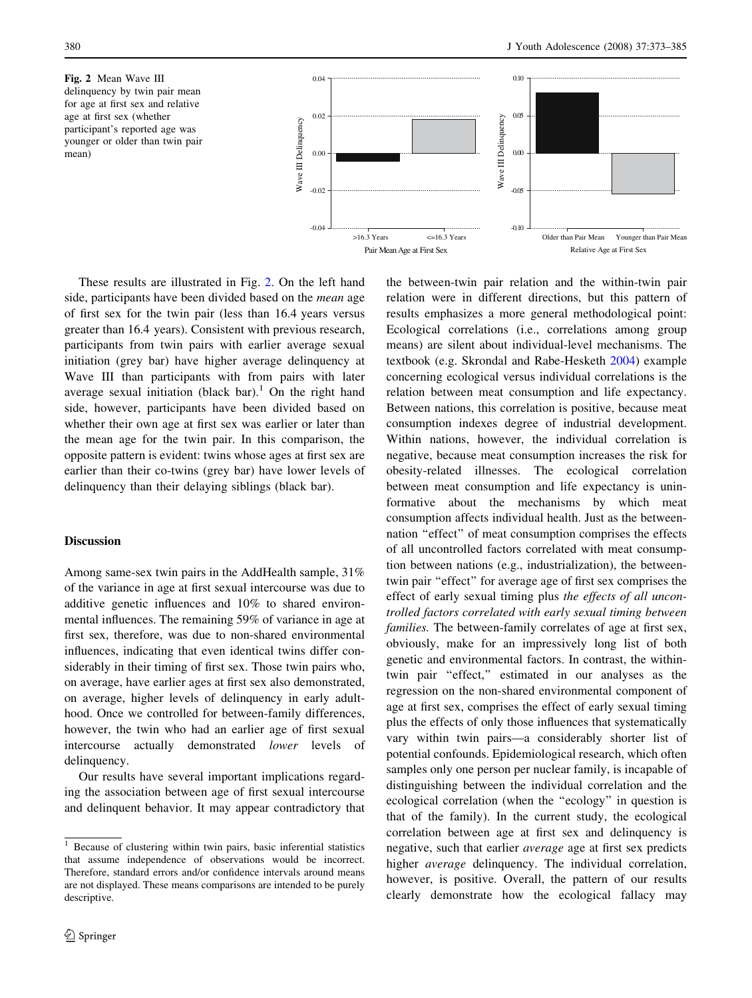



These results are illustrated in Fig. [2.](#page-7-0) On the left hand side, participants have been divided based on the mean age of first sex for the twin pair (less than 16.4 years versus greater than 16.4 years). Consistent with previous research, participants from twin pairs with earlier average sexual initiation (grey bar) have higher average delinquency at Wave III than participants with from pairs with later average sexual initiation (black bar).<sup>1</sup> On the right hand side, however, participants have been divided based on whether their own age at first sex was earlier or later than the mean age for the twin pair. In this comparison, the opposite pattern is evident: twins whose ages at first sex are earlier than their co-twins (grey bar) have lower levels of delinquency than their delaying siblings (black bar).

### Discussion

Among same-sex twin pairs in the AddHealth sample, 31% of the variance in age at first sexual intercourse was due to additive genetic influences and 10% to shared environmental influences. The remaining 59% of variance in age at first sex, therefore, was due to non-shared environmental influences, indicating that even identical twins differ considerably in their timing of first sex. Those twin pairs who, on average, have earlier ages at first sex also demonstrated, on average, higher levels of delinquency in early adulthood. Once we controlled for between-family differences, however, the twin who had an earlier age of first sexual intercourse actually demonstrated lower levels of delinquency.

Our results have several important implications regarding the association between age of first sexual intercourse and delinquent behavior. It may appear contradictory that the between-twin pair relation and the within-twin pair relation were in different directions, but this pattern of results emphasizes a more general methodological point: Ecological correlations (i.e., correlations among group means) are silent about individual-level mechanisms. The textbook (e.g. Skrondal and Rabe-Hesketh [2004](#page-11-0)) example concerning ecological versus individual correlations is the relation between meat consumption and life expectancy. Between nations, this correlation is positive, because meat consumption indexes degree of industrial development. Within nations, however, the individual correlation is negative, because meat consumption increases the risk for obesity-related illnesses. The ecological correlation between meat consumption and life expectancy is uninformative about the mechanisms by which meat consumption affects individual health. Just as the betweennation "effect" of meat consumption comprises the effects of all uncontrolled factors correlated with meat consumption between nations (e.g., industrialization), the betweentwin pair ''effect'' for average age of first sex comprises the effect of early sexual timing plus the effects of all uncontrolled factors correlated with early sexual timing between families. The between-family correlates of age at first sex, obviously, make for an impressively long list of both genetic and environmental factors. In contrast, the withintwin pair "effect," estimated in our analyses as the regression on the non-shared environmental component of age at first sex, comprises the effect of early sexual timing plus the effects of only those influences that systematically vary within twin pairs—a considerably shorter list of potential confounds. Epidemiological research, which often samples only one person per nuclear family, is incapable of distinguishing between the individual correlation and the ecological correlation (when the ''ecology'' in question is that of the family). In the current study, the ecological correlation between age at first sex and delinquency is negative, such that earlier average age at first sex predicts higher average delinquency. The individual correlation, however, is positive. Overall, the pattern of our results clearly demonstrate how the ecological fallacy may

<span id="page-7-0"></span> $\frac{1}{1}$  Because of clustering within twin pairs, basic inferential statistics that assume independence of observations would be incorrect. Therefore, standard errors and/or confidence intervals around means are not displayed. These means comparisons are intended to be purely descriptive.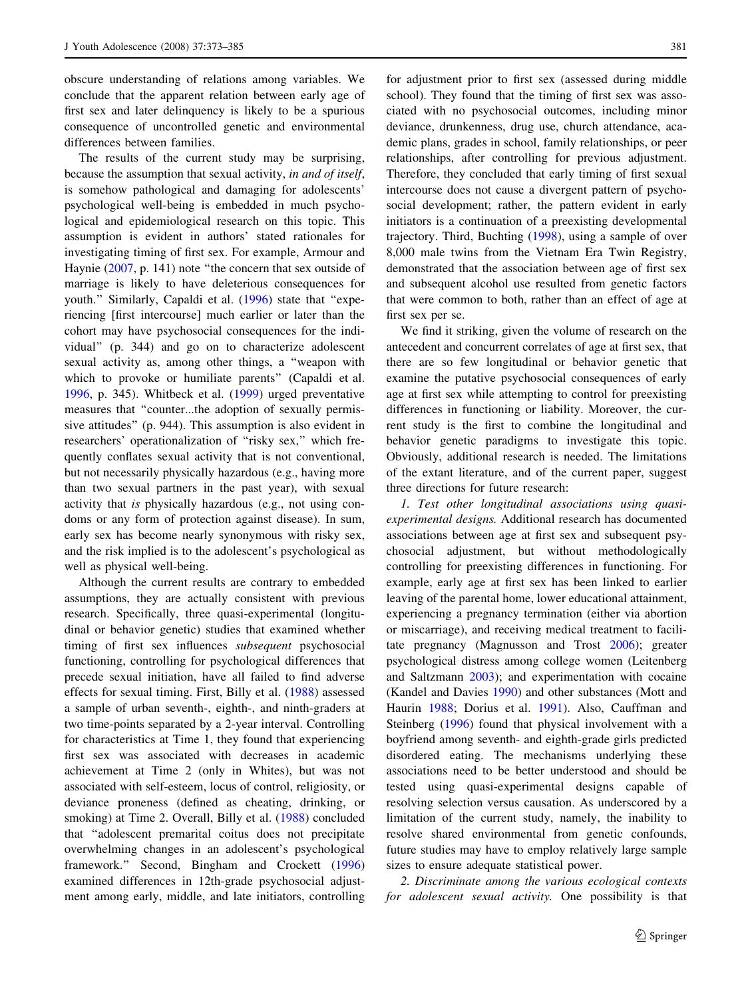obscure understanding of relations among variables. We conclude that the apparent relation between early age of first sex and later delinquency is likely to be a spurious consequence of uncontrolled genetic and environmental differences between families.

The results of the current study may be surprising, because the assumption that sexual activity, in and of itself, is somehow pathological and damaging for adolescents' psychological well-being is embedded in much psychological and epidemiological research on this topic. This assumption is evident in authors' stated rationales for investigating timing of first sex. For example, Armour and Haynie ([2007,](#page-10-0) p. 141) note "the concern that sex outside of marriage is likely to have deleterious consequences for youth.'' Similarly, Capaldi et al. ([1996\)](#page-10-0) state that ''experiencing [first intercourse] much earlier or later than the cohort may have psychosocial consequences for the individual'' (p. 344) and go on to characterize adolescent sexual activity as, among other things, a ''weapon with which to provoke or humiliate parents'' (Capaldi et al. [1996,](#page-10-0) p. 345). Whitbeck et al. [\(1999](#page-11-0)) urged preventative measures that ''counter...the adoption of sexually permissive attitudes'' (p. 944). This assumption is also evident in researchers' operationalization of "risky sex," which frequently conflates sexual activity that is not conventional, but not necessarily physically hazardous (e.g., having more than two sexual partners in the past year), with sexual activity that is physically hazardous (e.g., not using condoms or any form of protection against disease). In sum, early sex has become nearly synonymous with risky sex, and the risk implied is to the adolescent's psychological as well as physical well-being.

Although the current results are contrary to embedded assumptions, they are actually consistent with previous research. Specifically, three quasi-experimental (longitudinal or behavior genetic) studies that examined whether timing of first sex influences subsequent psychosocial functioning, controlling for psychological differences that precede sexual initiation, have all failed to find adverse effects for sexual timing. First, Billy et al. [\(1988](#page-10-0)) assessed a sample of urban seventh-, eighth-, and ninth-graders at two time-points separated by a 2-year interval. Controlling for characteristics at Time 1, they found that experiencing first sex was associated with decreases in academic achievement at Time 2 (only in Whites), but was not associated with self-esteem, locus of control, religiosity, or deviance proneness (defined as cheating, drinking, or smoking) at Time 2. Overall, Billy et al. ([1988\)](#page-10-0) concluded that ''adolescent premarital coitus does not precipitate overwhelming changes in an adolescent's psychological framework.'' Second, Bingham and Crockett ([1996\)](#page-10-0) examined differences in 12th-grade psychosocial adjustment among early, middle, and late initiators, controlling for adjustment prior to first sex (assessed during middle school). They found that the timing of first sex was associated with no psychosocial outcomes, including minor deviance, drunkenness, drug use, church attendance, academic plans, grades in school, family relationships, or peer relationships, after controlling for previous adjustment. Therefore, they concluded that early timing of first sexual intercourse does not cause a divergent pattern of psychosocial development; rather, the pattern evident in early initiators is a continuation of a preexisting developmental trajectory. Third, Buchting ([1998\)](#page-10-0), using a sample of over 8,000 male twins from the Vietnam Era Twin Registry, demonstrated that the association between age of first sex and subsequent alcohol use resulted from genetic factors that were common to both, rather than an effect of age at first sex per se.

We find it striking, given the volume of research on the antecedent and concurrent correlates of age at first sex, that there are so few longitudinal or behavior genetic that examine the putative psychosocial consequences of early age at first sex while attempting to control for preexisting differences in functioning or liability. Moreover, the current study is the first to combine the longitudinal and behavior genetic paradigms to investigate this topic. Obviously, additional research is needed. The limitations of the extant literature, and of the current paper, suggest three directions for future research:

1. Test other longitudinal associations using quasiexperimental designs. Additional research has documented associations between age at first sex and subsequent psychosocial adjustment, but without methodologically controlling for preexisting differences in functioning. For example, early age at first sex has been linked to earlier leaving of the parental home, lower educational attainment, experiencing a pregnancy termination (either via abortion or miscarriage), and receiving medical treatment to facilitate pregnancy (Magnusson and Trost [2006](#page-10-0)); greater psychological distress among college women (Leitenberg and Saltzmann [2003\)](#page-10-0); and experimentation with cocaine (Kandel and Davies [1990](#page-10-0)) and other substances (Mott and Haurin [1988](#page-11-0); Dorius et al. [1991](#page-10-0)). Also, Cauffman and Steinberg ([1996\)](#page-10-0) found that physical involvement with a boyfriend among seventh- and eighth-grade girls predicted disordered eating. The mechanisms underlying these associations need to be better understood and should be tested using quasi-experimental designs capable of resolving selection versus causation. As underscored by a limitation of the current study, namely, the inability to resolve shared environmental from genetic confounds, future studies may have to employ relatively large sample sizes to ensure adequate statistical power.

2. Discriminate among the various ecological contexts for adolescent sexual activity. One possibility is that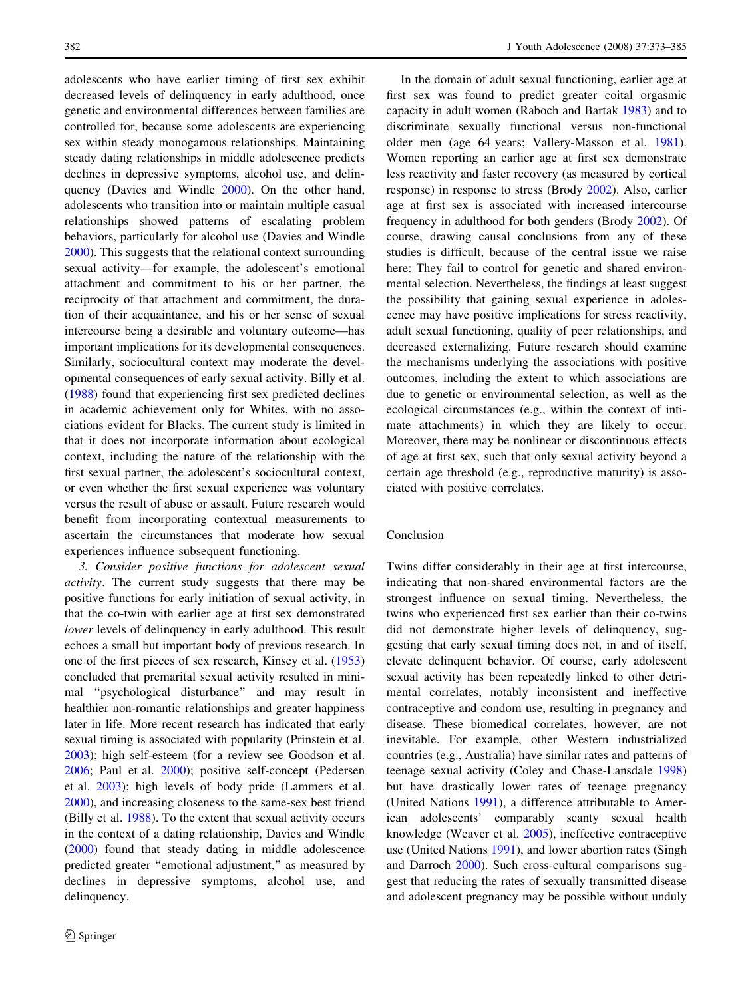adolescents who have earlier timing of first sex exhibit decreased levels of delinquency in early adulthood, once genetic and environmental differences between families are controlled for, because some adolescents are experiencing sex within steady monogamous relationships. Maintaining steady dating relationships in middle adolescence predicts declines in depressive symptoms, alcohol use, and delinquency (Davies and Windle [2000\)](#page-10-0). On the other hand, adolescents who transition into or maintain multiple casual relationships showed patterns of escalating problem behaviors, particularly for alcohol use (Davies and Windle [2000\)](#page-10-0). This suggests that the relational context surrounding sexual activity—for example, the adolescent's emotional attachment and commitment to his or her partner, the reciprocity of that attachment and commitment, the duration of their acquaintance, and his or her sense of sexual intercourse being a desirable and voluntary outcome—has important implications for its developmental consequences. Similarly, sociocultural context may moderate the developmental consequences of early sexual activity. Billy et al. [\(1988](#page-10-0)) found that experiencing first sex predicted declines in academic achievement only for Whites, with no associations evident for Blacks. The current study is limited in that it does not incorporate information about ecological context, including the nature of the relationship with the first sexual partner, the adolescent's sociocultural context, or even whether the first sexual experience was voluntary versus the result of abuse or assault. Future research would benefit from incorporating contextual measurements to ascertain the circumstances that moderate how sexual experiences influence subsequent functioning.

3. Consider positive functions for adolescent sexual activity. The current study suggests that there may be positive functions for early initiation of sexual activity, in that the co-twin with earlier age at first sex demonstrated lower levels of delinquency in early adulthood. This result echoes a small but important body of previous research. In one of the first pieces of sex research, Kinsey et al. ([1953\)](#page-10-0) concluded that premarital sexual activity resulted in minimal ''psychological disturbance'' and may result in healthier non-romantic relationships and greater happiness later in life. More recent research has indicated that early sexual timing is associated with popularity (Prinstein et al. [2003\)](#page-11-0); high self-esteem (for a review see Goodson et al. [2006;](#page-10-0) Paul et al. [2000](#page-11-0)); positive self-concept (Pedersen et al. [2003](#page-11-0)); high levels of body pride (Lammers et al. [2000\)](#page-10-0), and increasing closeness to the same-sex best friend (Billy et al. [1988](#page-10-0)). To the extent that sexual activity occurs in the context of a dating relationship, Davies and Windle [\(2000](#page-10-0)) found that steady dating in middle adolescence predicted greater "emotional adjustment," as measured by declines in depressive symptoms, alcohol use, and delinquency.

In the domain of adult sexual functioning, earlier age at first sex was found to predict greater coital orgasmic capacity in adult women (Raboch and Bartak [1983\)](#page-11-0) and to discriminate sexually functional versus non-functional older men (age 64 years; Vallery-Masson et al. [1981](#page-11-0)). Women reporting an earlier age at first sex demonstrate less reactivity and faster recovery (as measured by cortical response) in response to stress (Brody [2002\)](#page-10-0). Also, earlier age at first sex is associated with increased intercourse frequency in adulthood for both genders (Brody [2002\)](#page-10-0). Of course, drawing causal conclusions from any of these studies is difficult, because of the central issue we raise here: They fail to control for genetic and shared environmental selection. Nevertheless, the findings at least suggest the possibility that gaining sexual experience in adolescence may have positive implications for stress reactivity, adult sexual functioning, quality of peer relationships, and decreased externalizing. Future research should examine the mechanisms underlying the associations with positive outcomes, including the extent to which associations are due to genetic or environmental selection, as well as the ecological circumstances (e.g., within the context of intimate attachments) in which they are likely to occur. Moreover, there may be nonlinear or discontinuous effects of age at first sex, such that only sexual activity beyond a certain age threshold (e.g., reproductive maturity) is associated with positive correlates.

#### Conclusion

Twins differ considerably in their age at first intercourse, indicating that non-shared environmental factors are the strongest influence on sexual timing. Nevertheless, the twins who experienced first sex earlier than their co-twins did not demonstrate higher levels of delinquency, suggesting that early sexual timing does not, in and of itself, elevate delinquent behavior. Of course, early adolescent sexual activity has been repeatedly linked to other detrimental correlates, notably inconsistent and ineffective contraceptive and condom use, resulting in pregnancy and disease. These biomedical correlates, however, are not inevitable. For example, other Western industrialized countries (e.g., Australia) have similar rates and patterns of teenage sexual activity (Coley and Chase-Lansdale [1998\)](#page-10-0) but have drastically lower rates of teenage pregnancy (United Nations [1991](#page-11-0)), a difference attributable to American adolescents' comparably scanty sexual health knowledge (Weaver et al. [2005\)](#page-11-0), ineffective contraceptive use (United Nations [1991](#page-11-0)), and lower abortion rates (Singh and Darroch [2000\)](#page-11-0). Such cross-cultural comparisons suggest that reducing the rates of sexually transmitted disease and adolescent pregnancy may be possible without unduly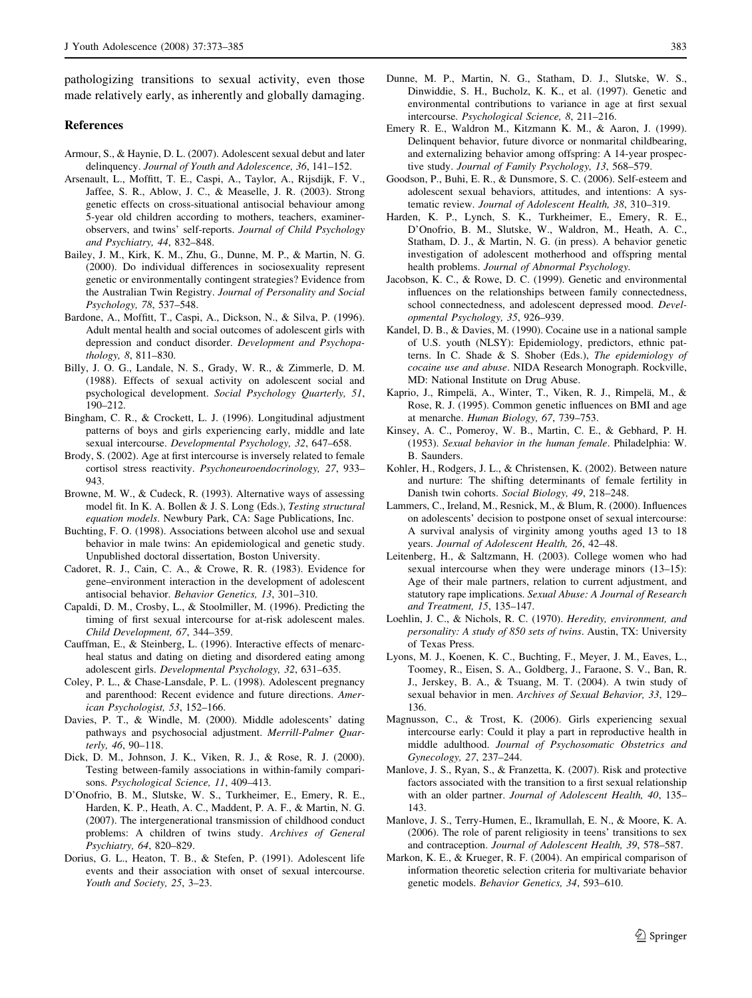pathologizing transitions to sexual activity, even those made relatively early, as inherently and globally damaging.

#### References

- Armour, S., & Haynie, D. L. (2007). Adolescent sexual debut and later delinquency. Journal of Youth and Adolescence, 36, 141–152.
- Arsenault, L., Moffitt, T. E., Caspi, A., Taylor, A., Rijsdijk, F. V., Jaffee, S. R., Ablow, J. C., & Measelle, J. R. (2003). Strong genetic effects on cross-situational antisocial behaviour among 5-year old children according to mothers, teachers, examinerobservers, and twins' self-reports. Journal of Child Psychology and Psychiatry, 44, 832–848.
- Bailey, J. M., Kirk, K. M., Zhu, G., Dunne, M. P., & Martin, N. G. (2000). Do individual differences in sociosexuality represent genetic or environmentally contingent strategies? Evidence from the Australian Twin Registry. Journal of Personality and Social Psychology, 78, 537–548.
- Bardone, A., Moffitt, T., Caspi, A., Dickson, N., & Silva, P. (1996). Adult mental health and social outcomes of adolescent girls with depression and conduct disorder. Development and Psychopathology, 8, 811–830.
- Billy, J. O. G., Landale, N. S., Grady, W. R., & Zimmerle, D. M. (1988). Effects of sexual activity on adolescent social and psychological development. Social Psychology Quarterly, 51, 190–212.
- Bingham, C. R., & Crockett, L. J. (1996). Longitudinal adjustment patterns of boys and girls experiencing early, middle and late sexual intercourse. Developmental Psychology, 32, 647–658.
- Brody, S. (2002). Age at first intercourse is inversely related to female cortisol stress reactivity. Psychoneuroendocrinology, 27, 933– 943.
- Browne, M. W., & Cudeck, R. (1993). Alternative ways of assessing model fit. In K. A. Bollen & J. S. Long (Eds.), Testing structural equation models. Newbury Park, CA: Sage Publications, Inc.
- Buchting, F. O. (1998). Associations between alcohol use and sexual behavior in male twins: An epidemiological and genetic study. Unpublished doctoral dissertation, Boston University.
- Cadoret, R. J., Cain, C. A., & Crowe, R. R. (1983). Evidence for gene–environment interaction in the development of adolescent antisocial behavior. Behavior Genetics, 13, 301–310.
- Capaldi, D. M., Crosby, L., & Stoolmiller, M. (1996). Predicting the timing of first sexual intercourse for at-risk adolescent males. Child Development, 67, 344–359.
- Cauffman, E., & Steinberg, L. (1996). Interactive effects of menarcheal status and dating on dieting and disordered eating among adolescent girls. Developmental Psychology, 32, 631–635.
- Coley, P. L., & Chase-Lansdale, P. L. (1998). Adolescent pregnancy and parenthood: Recent evidence and future directions. American Psychologist, 53, 152–166.
- Davies, P. T., & Windle, M. (2000). Middle adolescents' dating pathways and psychosocial adjustment. Merrill-Palmer Quarterly, 46, 90–118.
- Dick, D. M., Johnson, J. K., Viken, R. J., & Rose, R. J. (2000). Testing between-family associations in within-family comparisons. Psychological Science, 11, 409–413.
- D'Onofrio, B. M., Slutske, W. S., Turkheimer, E., Emery, R. E., Harden, K. P., Heath, A. C., Maddent, P. A. F., & Martin, N. G. (2007). The intergenerational transmission of childhood conduct problems: A children of twins study. Archives of General Psychiatry, 64, 820–829.
- <span id="page-10-0"></span>Dorius, G. L., Heaton, T. B., & Stefen, P. (1991). Adolescent life events and their association with onset of sexual intercourse. Youth and Society, 25, 3–23.
- Dunne, M. P., Martin, N. G., Statham, D. J., Slutske, W. S., Dinwiddie, S. H., Bucholz, K. K., et al. (1997). Genetic and environmental contributions to variance in age at first sexual intercourse. Psychological Science, 8, 211–216.
- Emery R. E., Waldron M., Kitzmann K. M., & Aaron, J. (1999). Delinquent behavior, future divorce or nonmarital childbearing, and externalizing behavior among offspring: A 14-year prospective study. Journal of Family Psychology, 13, 568–579.
- Goodson, P., Buhi, E. R., & Dunsmore, S. C. (2006). Self-esteem and adolescent sexual behaviors, attitudes, and intentions: A systematic review. Journal of Adolescent Health, 38, 310–319.
- Harden, K. P., Lynch, S. K., Turkheimer, E., Emery, R. E., D'Onofrio, B. M., Slutske, W., Waldron, M., Heath, A. C., Statham, D. J., & Martin, N. G. (in press). A behavior genetic investigation of adolescent motherhood and offspring mental health problems. Journal of Abnormal Psychology.
- Jacobson, K. C., & Rowe, D. C. (1999). Genetic and environmental influences on the relationships between family connectedness, school connectedness, and adolescent depressed mood. Developmental Psychology, 35, 926–939.
- Kandel, D. B., & Davies, M. (1990). Cocaine use in a national sample of U.S. youth (NLSY): Epidemiology, predictors, ethnic patterns. In C. Shade & S. Shober (Eds.), The epidemiology of cocaine use and abuse. NIDA Research Monograph. Rockville, MD: National Institute on Drug Abuse.
- Kaprio, J., Rimpelä, A., Winter, T., Viken, R. J., Rimpelä, M., & Rose, R. J. (1995). Common genetic influences on BMI and age at menarche. Human Biology, 67, 739–753.
- Kinsey, A. C., Pomeroy, W. B., Martin, C. E., & Gebhard, P. H. (1953). Sexual behavior in the human female. Philadelphia: W. B. Saunders.
- Kohler, H., Rodgers, J. L., & Christensen, K. (2002). Between nature and nurture: The shifting determinants of female fertility in Danish twin cohorts. Social Biology, 49, 218–248.
- Lammers, C., Ireland, M., Resnick, M., & Blum, R. (2000). Influences on adolescents' decision to postpone onset of sexual intercourse: A survival analysis of virginity among youths aged 13 to 18 years. Journal of Adolescent Health, 26, 42–48.
- Leitenberg, H., & Saltzmann, H. (2003). College women who had sexual intercourse when they were underage minors (13–15): Age of their male partners, relation to current adjustment, and statutory rape implications. Sexual Abuse: A Journal of Research and Treatment, 15, 135–147.
- Loehlin, J. C., & Nichols, R. C. (1970). Heredity, environment, and personality: A study of 850 sets of twins. Austin, TX: University of Texas Press.
- Lyons, M. J., Koenen, K. C., Buchting, F., Meyer, J. M., Eaves, L., Toomey, R., Eisen, S. A., Goldberg, J., Faraone, S. V., Ban, R. J., Jerskey, B. A., & Tsuang, M. T. (2004). A twin study of sexual behavior in men. Archives of Sexual Behavior, 33, 129– 136.
- Magnusson, C., & Trost, K. (2006). Girls experiencing sexual intercourse early: Could it play a part in reproductive health in middle adulthood. Journal of Psychosomatic Obstetrics and Gynecology, 27, 237–244.
- Manlove, J. S., Ryan, S., & Franzetta, K. (2007). Risk and protective factors associated with the transition to a first sexual relationship with an older partner. Journal of Adolescent Health, 40, 135– 143.
- Manlove, J. S., Terry-Humen, E., Ikramullah, E. N., & Moore, K. A. (2006). The role of parent religiosity in teens' transitions to sex and contraception. Journal of Adolescent Health, 39, 578–587.
- Markon, K. E., & Krueger, R. F. (2004). An empirical comparison of information theoretic selection criteria for multivariate behavior genetic models. Behavior Genetics, 34, 593–610.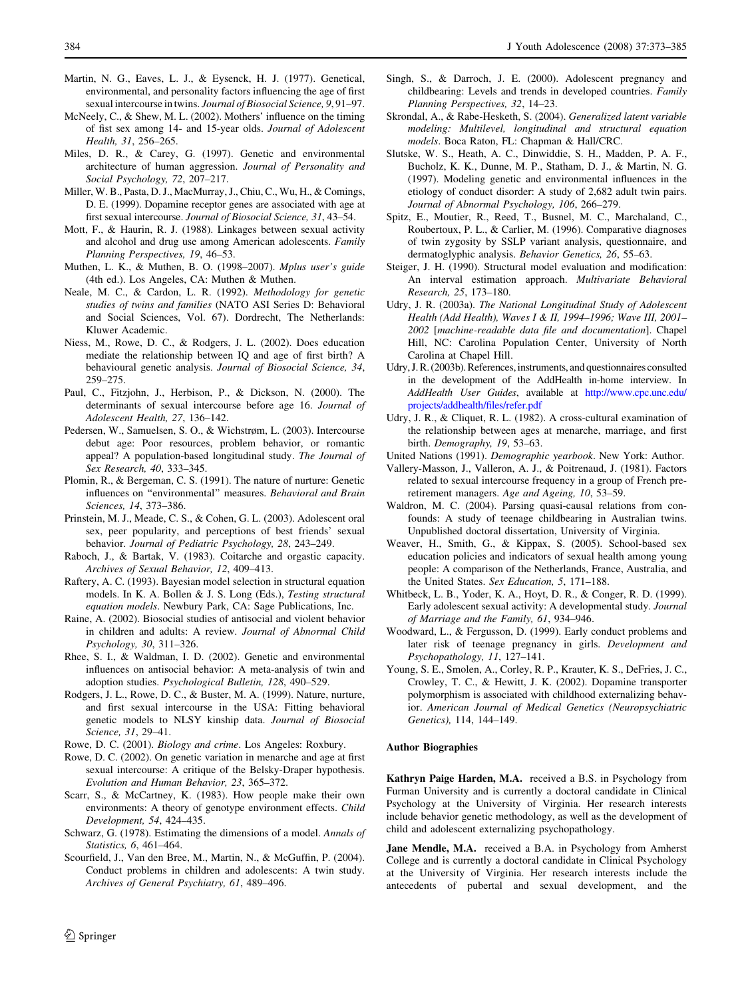- Martin, N. G., Eaves, L. J., & Eysenck, H. J. (1977). Genetical, environmental, and personality factors influencing the age of first sexual intercourse in twins. Journal of Biosocial Science, 9, 91–97.
- McNeely, C., & Shew, M. L. (2002). Mothers' influence on the timing of fist sex among 14- and 15-year olds. Journal of Adolescent Health, 31, 256–265.
- Miles, D. R., & Carey, G. (1997). Genetic and environmental architecture of human aggression. Journal of Personality and Social Psychology, 72, 207–217.
- Miller, W. B., Pasta, D. J., MacMurray, J., Chiu, C., Wu, H., & Comings, D. E. (1999). Dopamine receptor genes are associated with age at first sexual intercourse. Journal of Biosocial Science, 31, 43–54.
- Mott, F., & Haurin, R. J. (1988). Linkages between sexual activity and alcohol and drug use among American adolescents. Family Planning Perspectives, 19, 46–53.
- Muthen, L. K., & Muthen, B. O. (1998–2007). Mplus user's guide (4th ed.). Los Angeles, CA: Muthen & Muthen.
- Neale, M. C., & Cardon, L. R. (1992). Methodology for genetic studies of twins and families (NATO ASI Series D: Behavioral and Social Sciences, Vol. 67). Dordrecht, The Netherlands: Kluwer Academic.
- Niess, M., Rowe, D. C., & Rodgers, J. L. (2002). Does education mediate the relationship between IQ and age of first birth? A behavioural genetic analysis. Journal of Biosocial Science, 34, 259–275.
- Paul, C., Fitzjohn, J., Herbison, P., & Dickson, N. (2000). The determinants of sexual intercourse before age 16. Journal of Adolescent Health, 27, 136–142.
- Pedersen, W., Samuelsen, S. O., & Wichstrøm, L. (2003). Intercourse debut age: Poor resources, problem behavior, or romantic appeal? A population-based longitudinal study. The Journal of Sex Research, 40, 333–345.
- Plomin, R., & Bergeman, C. S. (1991). The nature of nurture: Genetic influences on ''environmental'' measures. Behavioral and Brain Sciences, 14, 373–386.
- Prinstein, M. J., Meade, C. S., & Cohen, G. L. (2003). Adolescent oral sex, peer popularity, and perceptions of best friends' sexual behavior. Journal of Pediatric Psychology, 28, 243–249.
- Raboch, J., & Bartak, V. (1983). Coitarche and orgastic capacity. Archives of Sexual Behavior, 12, 409–413.
- Raftery, A. C. (1993). Bayesian model selection in structural equation models. In K. A. Bollen & J. S. Long (Eds.), Testing structural equation models. Newbury Park, CA: Sage Publications, Inc.
- Raine, A. (2002). Biosocial studies of antisocial and violent behavior in children and adults: A review. Journal of Abnormal Child Psychology, 30, 311–326.
- Rhee, S. I., & Waldman, I. D. (2002). Genetic and environmental influences on antisocial behavior: A meta-analysis of twin and adoption studies. Psychological Bulletin, 128, 490–529.
- Rodgers, J. L., Rowe, D. C., & Buster, M. A. (1999). Nature, nurture, and first sexual intercourse in the USA: Fitting behavioral genetic models to NLSY kinship data. Journal of Biosocial Science, 31, 29–41.
- Rowe, D. C. (2001). Biology and crime. Los Angeles: Roxbury.
- Rowe, D. C. (2002). On genetic variation in menarche and age at first sexual intercourse: A critique of the Belsky-Draper hypothesis. Evolution and Human Behavior, 23, 365–372.
- Scarr, S., & McCartney, K. (1983). How people make their own environments: A theory of genotype environment effects. Child Development, 54, 424–435.
- Schwarz, G. (1978). Estimating the dimensions of a model. Annals of Statistics, 6, 461–464.
- <span id="page-11-0"></span>Scourfield, J., Van den Bree, M., Martin, N., & McGuffin, P. (2004). Conduct problems in children and adolescents: A twin study. Archives of General Psychiatry, 61, 489–496.
- Singh, S., & Darroch, J. E. (2000). Adolescent pregnancy and childbearing: Levels and trends in developed countries. Family Planning Perspectives, 32, 14–23.
- Skrondal, A., & Rabe-Hesketh, S. (2004). Generalized latent variable modeling: Multilevel, longitudinal and structural equation models. Boca Raton, FL: Chapman & Hall/CRC.
- Slutske, W. S., Heath, A. C., Dinwiddie, S. H., Madden, P. A. F., Bucholz, K. K., Dunne, M. P., Statham, D. J., & Martin, N. G. (1997). Modeling genetic and environmental influences in the etiology of conduct disorder: A study of 2,682 adult twin pairs. Journal of Abnormal Psychology, 106, 266–279.
- Spitz, E., Moutier, R., Reed, T., Busnel, M. C., Marchaland, C., Roubertoux, P. L., & Carlier, M. (1996). Comparative diagnoses of twin zygosity by SSLP variant analysis, questionnaire, and dermatoglyphic analysis. Behavior Genetics, 26, 55–63.
- Steiger, J. H. (1990). Structural model evaluation and modification: An interval estimation approach. Multivariate Behavioral Research, 25, 173–180.
- Udry, J. R. (2003a). The National Longitudinal Study of Adolescent Health (Add Health), Waves I & II, 1994–1996; Wave III, 2001– 2002 [machine-readable data file and documentation]. Chapel Hill, NC: Carolina Population Center, University of North Carolina at Chapel Hill.
- Udry, J. R. (2003b). References, instruments, and questionnaires consulted in the development of the AddHealth in-home interview. In AddHealth User Guides, available at [http://www.cpc.unc.edu/](http://www.cpc.unc.edu/projects/addhealth/files/refer.pdf) [projects/addhealth/files/refer.pdf](http://www.cpc.unc.edu/projects/addhealth/files/refer.pdf)
- Udry, J. R., & Cliquet, R. L. (1982). A cross-cultural examination of the relationship between ages at menarche, marriage, and first birth. Demography, 19, 53–63.
- United Nations (1991). Demographic yearbook. New York: Author.
- Vallery-Masson, J., Valleron, A. J., & Poitrenaud, J. (1981). Factors related to sexual intercourse frequency in a group of French preretirement managers. Age and Ageing, 10, 53–59.
- Waldron, M. C. (2004). Parsing quasi-causal relations from confounds: A study of teenage childbearing in Australian twins. Unpublished doctoral dissertation, University of Virginia.
- Weaver, H., Smith, G., & Kippax, S. (2005). School-based sex education policies and indicators of sexual health among young people: A comparison of the Netherlands, France, Australia, and the United States. Sex Education, 5, 171–188.
- Whitbeck, L. B., Yoder, K. A., Hoyt, D. R., & Conger, R. D. (1999). Early adolescent sexual activity: A developmental study. Journal of Marriage and the Family, 61, 934–946.
- Woodward, L., & Fergusson, D. (1999). Early conduct problems and later risk of teenage pregnancy in girls. Development and Psychopathology, 11, 127–141.
- Young, S. E., Smolen, A., Corley, R. P., Krauter, K. S., DeFries, J. C., Crowley, T. C., & Hewitt, J. K. (2002). Dopamine transporter polymorphism is associated with childhood externalizing behavior. American Journal of Medical Genetics (Neuropsychiatric Genetics), 114, 144–149.

#### Author Biographies

Kathryn Paige Harden, M.A. received a B.S. in Psychology from Furman University and is currently a doctoral candidate in Clinical Psychology at the University of Virginia. Her research interests include behavior genetic methodology, as well as the development of child and adolescent externalizing psychopathology.

Jane Mendle, M.A. received a B.A. in Psychology from Amherst College and is currently a doctoral candidate in Clinical Psychology at the University of Virginia. Her research interests include the antecedents of pubertal and sexual development, and the